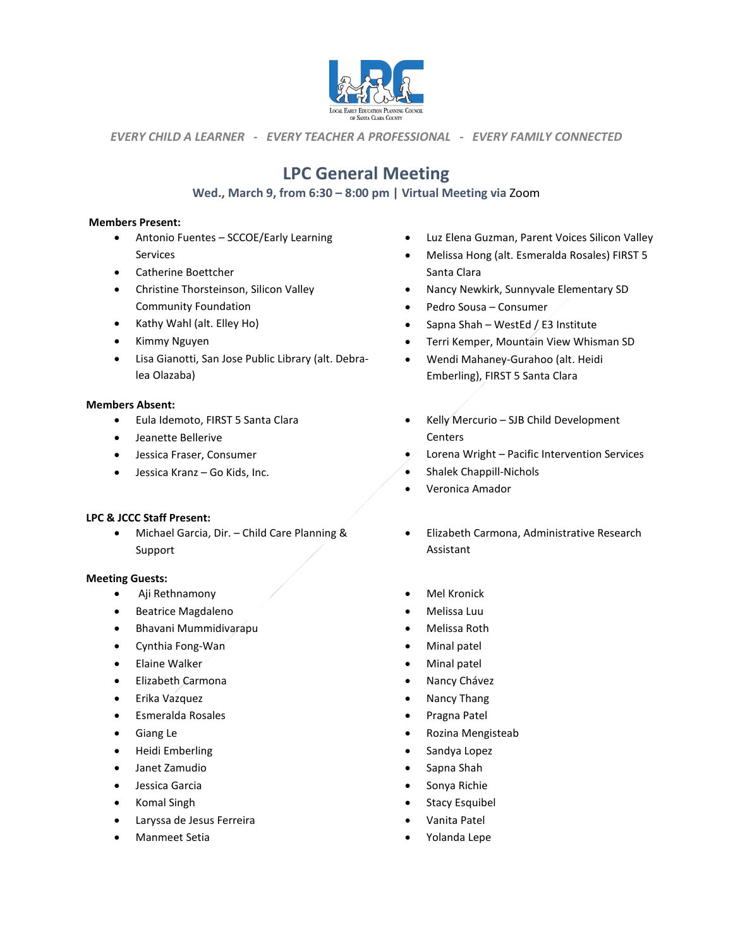

*EVERY CHILD A LEARNER - EVERY TEACHER A PROFESSIONAL - EVERY FAMILY CONNECTED*

# **LPC General Meeting**

# **Wed., March 9, from 6:30 – 8:00 pm | Virtual Meeting via** Zoom

### **Members Present:**

- Antonio Fuentes SCCOE/Early Learning Services
- Catherine Boettcher
- Christine Thorsteinson, Silicon Valley Community Foundation
- Kathy Wahl (alt. Elley Ho)
- Kimmy Nguyen
- Lisa Gianotti, San Jose Public Library (alt. Debralea Olazaba)

#### **Members Absent:**

- Eula Idemoto, FIRST 5 Santa Clara
- Jeanette Bellerive
- Jessica Fraser, Consumer
- Jessica Kranz Go Kids, Inc.

### **LPC & JCCC Staff Present:**

• Michael Garcia, Dir. – Child Care Planning & Support

#### **Meeting Guests:**

- Aji Rethnamony
- Beatrice Magdaleno
- Bhavani Mummidivarapu
- Cynthia Fong-Wan
- Elaine Walker
- Elizabeth Carmona
- Erika Vazquez
- Esmeralda Rosales
- Giang Le
- Heidi Emberling
- Janet Zamudio
- Jessica Garcia
- Komal Singh
- Laryssa de Jesus Ferreira
- Manmeet Setia
- Luz Elena Guzman, Parent Voices Silicon Valley
- Melissa Hong (alt. Esmeralda Rosales) FIRST 5 Santa Clara
- Nancy Newkirk, Sunnyvale Elementary SD
- Pedro Sousa Consumer
- Sapna Shah WestEd / E3 Institute
- Terri Kemper, Mountain View Whisman SD
- Wendi Mahaney-Gurahoo (alt. Heidi Emberling), FIRST 5 Santa Clara
- Kelly Mercurio SJB Child Development **Centers**
- Lorena Wright Pacific Intervention Services
- Shalek Chappill-Nichols
- Veronica Amador
- Elizabeth Carmona, Administrative Research Assistant
- **Mel Kronick**
- Melissa Luu
- Melissa Roth
- Minal patel
- Minal patel
- Nancy Chávez
- Nancy Thang
- Pragna Patel
- Rozina Mengisteab
- Sandya Lopez
- Sapna Shah
- Sonya Richie
- Stacy Esquibel
- Vanita Patel
- Yolanda Lepe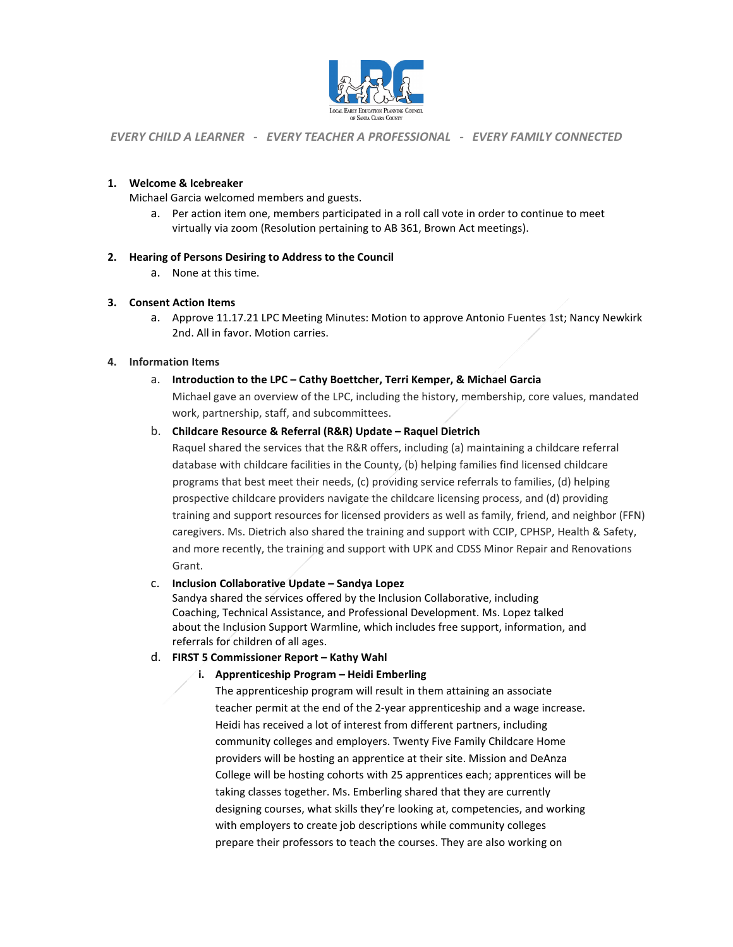

*EVERY CHILD A LEARNER - EVERY TEACHER A PROFESSIONAL - EVERY FAMILY CONNECTED*

#### **1. Welcome & Icebreaker**

Michael Garcia welcomed members and guests.

a. Per action item one, members participated in a roll call vote in order to continue to meet virtually via zoom (Resolution pertaining to AB 361, Brown Act meetings).

### **2. Hearing of Persons Desiring to Address to the Council**

a. None at this time.

#### **3. Consent Action Items**

a. Approve 11.17.21 LPC Meeting Minutes: Motion to approve Antonio Fuentes 1st; Nancy Newkirk 2nd. All in favor. Motion carries.

#### **4. Information Items**

a. **Introduction to the LPC – Cathy Boettcher, Terri Kemper, & Michael Garcia**  Michael gave an overview of the LPC, including the history, membership, core values, mandated work, partnership, staff, and subcommittees.

### b. **Childcare Resource & Referral (R&R) Update – Raquel Dietrich**

Raquel shared the services that the R&R offers, including (a) maintaining a childcare referral database with childcare facilities in the County, (b) helping families find licensed childcare programs that best meet their needs, (c) providing service referrals to families, (d) helping prospective childcare providers navigate the childcare licensing process, and (d) providing training and support resources for licensed providers as well as family, friend, and neighbor (FFN) caregivers. Ms. Dietrich also shared the training and support with CCIP, CPHSP, Health & Safety, and more recently, the training and support with UPK and CDSS Minor Repair and Renovations Grant.

#### c. **Inclusion Collaborative Update – Sandya Lopez**

Sandya shared the services offered by the Inclusion Collaborative, including Coaching, Technical Assistance, and Professional Development. Ms. Lopez talked about the Inclusion Support Warmline, which includes free support, information, and referrals for children of all ages.

### d. **FIRST 5 Commissioner Report – Kathy Wahl**

### **i. Apprenticeship Program – Heidi Emberling**

The apprenticeship program will result in them attaining an associate teacher permit at the end of the 2-year apprenticeship and a wage increase. Heidi has received a lot of interest from different partners, including community colleges and employers. Twenty Five Family Childcare Home providers will be hosting an apprentice at their site. Mission and DeAnza College will be hosting cohorts with 25 apprentices each; apprentices will be taking classes together. Ms. Emberling shared that they are currently designing courses, what skills they're looking at, competencies, and working with employers to create job descriptions while community colleges prepare their professors to teach the courses. They are also working on